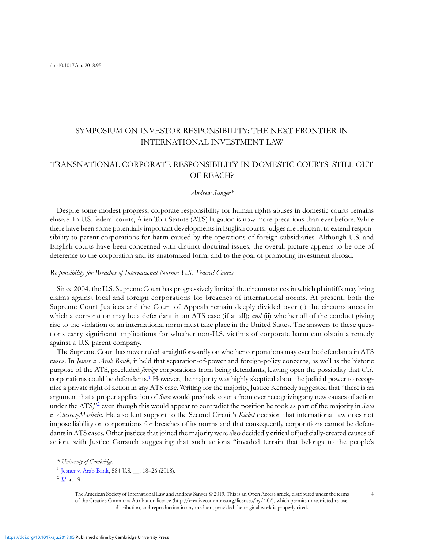## SYMPOSIUM ON INVESTOR RESPONSIBILITY: THE NEXT FRONTIER IN INTERNATIONAL INVESTMENT LAW

# TRANSNATIONAL CORPORATE RESPONSIBILITY IN DOMESTIC COURTS: STILL OUT OF REACH?

#### Andrew Sanger\*

Despite some modest progress, corporate responsibility for human rights abuses in domestic courts remains elusive. In U.S. federal courts, Alien Tort Statute (ATS) litigation is now more precarious than ever before. While there have been some potentially important developments in English courts, judges are reluctant to extend responsibility to parent corporations for harm caused by the operations of foreign subsidiaries. Although U.S. and English courts have been concerned with distinct doctrinal issues, the overall picture appears to be one of deference to the corporation and its anatomized form, and to the goal of promoting investment abroad.

### Responsibility for Breaches of International Norms: U.S. Federal Courts

Since 2004, the U.S. Supreme Court has progressively limited the circumstances in which plaintiffs may bring claims against local and foreign corporations for breaches of international norms. At present, both the Supreme Court Justices and the Court of Appeals remain deeply divided over (i) the circumstances in which a corporation may be a defendant in an ATS case (if at all); and (ii) whether all of the conduct giving rise to the violation of an international norm must take place in the United States. The answers to these questions carry significant implications for whether non-U.S. victims of corporate harm can obtain a remedy against a U.S. parent company.

The Supreme Court has never ruled straightforwardly on whether corporations may ever be defendants in ATS cases. In Jesner v. Arab Bank, it held that separation-of-power and foreign-policy concerns, as well as the historic purpose of the ATS, precluded *foreign* corporations from being defendants, leaving open the possibility that U.S. corporations could be defendants.<sup>1</sup> However, the majority was highly skeptical about the judicial power to recognize a private right of action in any ATS case. Writing for the majority, Justice Kennedy suggested that "there is an argument that a proper application of Sosa would preclude courts from ever recognizing any new causes of action under the ATS,"<sup>2</sup> even though this would appear to contradict the position he took as part of the majority in *Sosa* v. Alvarez-Machain. He also lent support to the Second Circuit's Kiobel decision that international law does not impose liability on corporations for breaches of its norms and that consequently corporations cannot be defendants in ATS cases. Other justices that joined the majority were also decidedly critical of judicially-created causes of action, with Justice Gorsuch suggesting that such actions "invaded terrain that belongs to the people's

4

<sup>\*</sup> University of Cambridge.

<sup>&</sup>lt;sup>1</sup> [Jesner v. Arab Bank,](https://supreme.justia.com/cases/federal/us/584/16-499/) 584 U.S. \_\_, 18-26 (2018).

 $^2$  *[Id.](https://supreme.justia.com/cases/federal/us/584/16-499/)* at 19.

The American Society of International Law and Andrew Sanger © 2019. This is an Open Access article, distributed under the terms of the Creative Commons Attribution licence (http://creativecommons.org/licenses/by/4.0/), which permits unrestricted re-use, distribution, and reproduction in any medium, provided the original work is properly cited.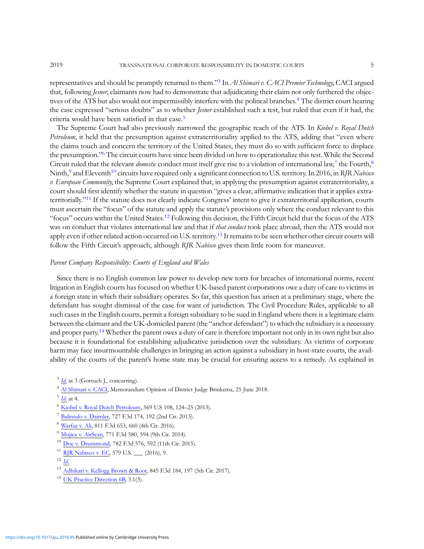representatives and should be promptly returned to them."<sup>3</sup> In *Al Shimari v. CACI Premier Technology*, CACI argued that, following *Jesner*, claimants now had to demonstrate that adjudicating their claim not only furthered the objectives of the ATS but also would not impermissibly interfere with the political branches.<sup>4</sup> The district court hearing the case expressed "serious doubts" as to whether Jesner established such a test, but ruled that even if it had, the criteria would have been satisfied in that case.5

The Supreme Court had also previously narrowed the geographic reach of the ATS. In Kiobel v. Royal Dutch Petroleum, it held that the presumption against extraterritoriality applied to the ATS, adding that "even where the claims touch and concern the territory of the United States, they must do so with sufficient force to displace the presumption."<sup>6</sup> The circuit courts have since been divided on how to operationalize this test. While the Second Circuit ruled that the relevant *domestic* conduct must itself give rise to a violation of international law,<sup>7</sup> the Fourth,<sup>8</sup> Ninth,<sup>9</sup> and Eleventh<sup>10</sup> circuits have required only a significant connection to U.S. territory. In 2016, in RJR Nabisco v. European Community, the Supreme Court explained that, in applying the presumption against extraterritoriality, a court should first identify whether the statute in question "gives a clear, affirmative indication that it applies extraterritorially."<sup>11</sup> If the statute does not clearly indicate Congress' intent to give it extraterritorial application, courts must ascertain the "focus" of the statute and apply the statute's provisions only where the conduct relevant to this "focus" occurs within the United States.<sup>12</sup> Following this decision, the Fifth Circuit held that the focus of the ATS was on conduct that violates international law and that if *that conduct* took place abroad, then the ATS would not apply even if other related action occurred on U.S. territory.<sup>13</sup> It remains to be seen whether other circuit courts will follow the Fifth Circuit's approach, although RJR Nabisco gives them little room for maneuver.

## Parent Company Responsibility: Courts of England and Wales

Since there is no English common law power to develop new torts for breaches of international norms, recent litigation in English courts has focused on whether UK-based parent corporations owe a duty of care to victims in a foreign state in which their subsidiary operates. So far, this question has arisen at a preliminary stage, where the defendant has sought dismissal of the case for want of jurisdiction. The Civil Procedure Rules, applicable to all such cases in the English courts, permit a foreign subsidiary to be sued in England where there is a legitimate claim between the claimant and the UK-domiciled parent (the "anchor defendant") to which the subsidiary is a necessary and proper party.<sup>14</sup> Whether the parent owes a duty of care is therefore important not only in its own right but also because it is foundational for establishing adjudicative jurisdiction over the subsidiary. As victims of corporate harm may face insurmountable challenges in bringing an action against a subsidiary in host-state courts, the availability of the courts of the parent's home state may be crucial for ensuring access to a remedy. As explained in

<sup>11</sup> [RJR Nabisco v. EC,](https://supreme.justia.com/cases/federal/us/579/15-138/) 579 U.S.  $\_\_$  (2016), 9.

 $3$  *[Id.](https://supreme.justia.com/cases/federal/us/584/16-499/)* at 3 (Gorsuch J., concurring).

<sup>4</sup> [Al Shimari v. CACI](https://cases.justia.com/federal/district-courts/virginia/vaedce/1:2008cv00827/232957/859/0.pdf?ts=1530006648), Memorandum Opinion of District Judge Brinkema, 25 June 2018.

 $^5$   $\emph{Id.}$  $\emph{Id.}$  $\emph{Id.}$  at 4.

<sup>6</sup> [Kiobel v. Royal Dutch Petroleum,](https://supreme.justia.com/cases/federal/us/569/108/) 569 U.S 108, 124–25 (2013).

<sup>7</sup> [Balintulo v. Daimler](https://casetext.com/case/balintulo-v-daimler-ag-ford-motor-co), 727 F.3d 174, 192 (2nd Cir. 2013).

<sup>8</sup> [Warfaa v. Ali](https://casetext.com/case/warfaa-v-ali-2), 811 F.3d 653, 660 (4th Cir. 2016).

<sup>9</sup> [Mujica v. AirScan](https://www.leagle.com/decision/infco20141112126), 771 F.3d 580, 594 (9th Cir. 2014).

<sup>10</sup> [Doe v. Drummond,](https://www.leagle.com/decision/infco20150325047) 782 F.3d 576, 592 (11th Cir. 2015).

 $12$  *[Id.](https://supreme.justia.com/cases/federal/us/579/15-138/)* 

<sup>13</sup> [Adhikari v. Kellogg Brown & Root](https://www.leagle.com/decision/infco20170103042), 845 F.3d 184, 197 (5th Cir. 2017).

<sup>&</sup>lt;sup>14</sup> [UK Practice Direction 6B,](https://www.justice.gov.uk/courts/procedure-rules/civil/rules/part06/pd_part06b) 3.1(3).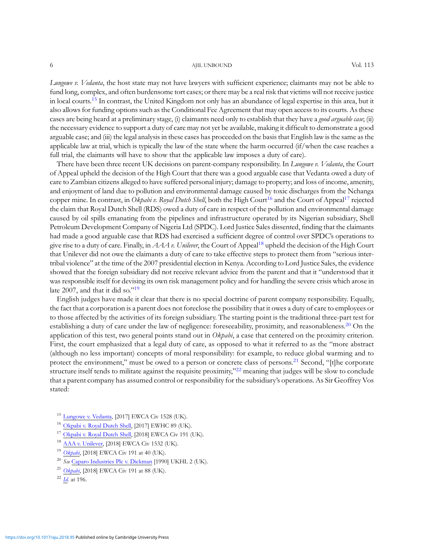#### 6 AJIL UNBOUND AND AND VOL. 113

Lungowe v. Vedanta, the host state may not have lawyers with sufficient experience; claimants may not be able to fund long, complex, and often burdensome tort cases; or there may be a real risk that victims will not receive justice in local courts.<sup>15</sup> In contrast, the United Kingdom not only has an abundance of legal expertise in this area, but it also allows for funding options such as the Conditional Fee Agreement that may open access to its courts. As these cases are being heard at a preliminary stage, (i) claimants need only to establish that they have a good arguable case; (ii) the necessary evidence to support a duty of care may not yet be available, making it difficult to demonstrate a good arguable case; and (iii) the legal analysis in these cases has proceeded on the basis that English law is the same as the applicable law at trial, which is typically the law of the state where the harm occurred (if/when the case reaches a full trial, the claimants will have to show that the applicable law imposes a duty of care).

There have been three recent UK decisions on parent-company responsibility. In Lungowe v. Vedanta, the Court of Appeal upheld the decision of the High Court that there was a good arguable case that Vedanta owed a duty of care to Zambian citizens alleged to have suffered personal injury; damage to property; and loss of income, amenity, and enjoyment of land due to pollution and environmental damage caused by toxic discharges from the Nchanga copper mine. In contrast, in Okpabi v. Royal Dutch Shell, both the High Court<sup>16</sup> and the Court of Appeal<sup>17</sup> rejected the claim that Royal Dutch Shell (RDS) owed a duty of care in respect of the pollution and environmental damage caused by oil spills emanating from the pipelines and infrastructure operated by its Nigerian subsidiary, Shell Petroleum Development Company of Nigeria Ltd (SPDC). Lord Justice Sales dissented, finding that the claimants had made a good arguable case that RDS had exercised a sufficient degree of control over SPDC's operations to give rise to a duty of care. Finally, in  $AAA$  v. Unilever, the Court of Appeal<sup>18</sup> upheld the decision of the High Court that Unilever did not owe the claimants a duty of care to take effective steps to protect them from "serious intertribal violence" at the time of the 2007 presidential election in Kenya. According to Lord Justice Sales, the evidence showed that the foreign subsidiary did not receive relevant advice from the parent and that it "understood that it was responsible itself for devising its own risk management policy and for handling the severe crisis which arose in late 2007, and that it did so."<sup>19</sup>

English judges have made it clear that there is no special doctrine of parent company responsibility. Equally, the fact that a corporation is a parent does not foreclose the possibility that it owes a duty of care to employees or to those affected by the activities of its foreign subsidiary. The starting point is the traditional three-part test for establishing a duty of care under the law of negligence: foreseeability, proximity, and reasonableness.<sup>20</sup> On the application of this test, two general points stand out in Okpabi, a case that centered on the proximity criterion. First, the court emphasized that a legal duty of care, as opposed to what it referred to as the "more abstract (although no less important) concepts of moral responsibility: for example, to reduce global warming and to protect the environment," must be owed to a person or concrete class of persons.<sup>21</sup> Second, "[t]he corporate structure itself tends to militate against the requisite proximity,"<sup>22</sup> meaning that judges will be slow to conclude that a parent company has assumed control or responsibility for the subsidiary's operations. As Sir Geoffrey Vos stated:

<sup>15</sup> [Lungowe v. Vedanta](http://www.bailii.org/ew/cases/EWCA/Civ/2017/1528.html), [2017] EWCA Civ 1528 (UK).

<sup>16</sup> [Okpabi v. Royal Dutch Shell](http://www.bailii.org/ew/cases/EWHC/TCC/2017/89.html), [2017] EWHC 89 (UK).

<sup>17</sup> [Okpabi v. Royal Dutch Shell](http://www.bailii.org/ew/cases/EWCA/Civ/2018/191.html), [2018] EWCA Civ 191 (UK).

<sup>18</sup> [AAA v. Unilever](http://www.bailii.org/ew/cases/EWCA/Civ/2018/1532.html), [2018] EWCA Civ 1532 (UK).

 $19$  [Okpabi](https://www.business-humanrights.org/sites/default/files/documents/Shell%20Approved%20Judgment.pdf), [2018] EWCA Civ 191 at 40 (UK).

<sup>&</sup>lt;sup>20</sup> See [Caparo Industries Plc v. Dickman](http://www.bailii.org/uk/cases/UKHL/1990/2.html) [1990] UKHL 2 (UK).

<sup>&</sup>lt;sup>21</sup> [Okpabi](http://www.bailii.org/ew/cases/EWCA/Civ/2018/191.html), [2018] EWCA Civ 191 at 88 (UK).

 $^{22}$  *[Id](http://www.bailii.org/ew/cases/EWCA/Civ/2018/191.html).* at 196.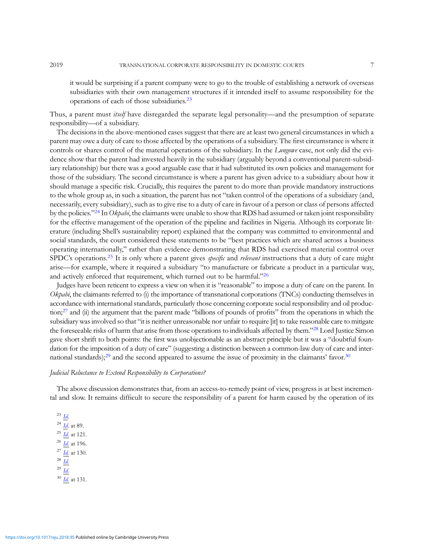it would be surprising if a parent company were to go to the trouble of establishing a network of overseas subsidiaries with their own management structures if it intended itself to assume responsibility for the operations of each of those subsidiaries.<sup>23</sup>

Thus, a parent must *itself* have disregarded the separate legal personality—and the presumption of separate responsibility—of a subsidiary.

The decisions in the above-mentioned cases suggest that there are at least two general circumstances in which a parent may owe a duty of care to those affected by the operations of a subsidiary. The first circumstance is where it controls or shares control of the material operations of the subsidiary. In the Lungowe case, not only did the evidence show that the parent had invested heavily in the subsidiary (arguably beyond a conventional parent-subsidiary relationship) but there was a good arguable case that it had substituted its own policies and management for those of the subsidiary. The second circumstance is where a parent has given advice to a subsidiary about how it should manage a specific risk. Crucially, this requires the parent to do more than provide mandatory instructions to the whole group as, in such a situation, the parent has not "taken control of the operations of a subsidiary (and, necessarily, every subsidiary), such as to give rise to a duty of care in favour of a person or class of persons affected by the policies."<sup>24</sup> In Okpabi, the claimants were unable to show that RDS had assumed or taken joint responsibility for the effective management of the operation of the pipeline and facilities in Nigeria. Although its corporate literature (including Shell's sustainability report) explained that the company was committed to environmental and social standards, the court considered these statements to be "best practices which are shared across a business operating internationally," rather than evidence demonstrating that RDS had exercised material control over SPDC's operations.<sup>25</sup> It is only where a parent gives *specific* and *relevant* instructions that a duty of care might arise—for example, where it required a subsidiary "to manufacture or fabricate a product in a particular way, and actively enforced that requirement, which turned out to be harmful."26

Judges have been reticent to express a view on when it is "reasonable" to impose a duty of care on the parent. In Okpabi, the claimants referred to (i) the importance of transnational corporations (TNCs) conducting themselves in accordance with international standards, particularly those concerning corporate social responsibility and oil production;27 and (ii) the argument that the parent made "billions of pounds of profits" from the operations in which the subsidiary was involved so that "it is neither unreasonable nor unfair to require [it] to take reasonable care to mitigate the foreseeable risks of harm that arise from those operations to individuals affected by them."<sup>28</sup> Lord Justice Simon gave short shrift to both points: the first was unobjectionable as an abstract principle but it was a "doubtful foundation for the imposition of a duty of care" (suggesting a distinction between a common-law duty of care and international standards); $^{29}$  and the second appeared to assume the issue of proximity in the claimants' favor. $^{30}$ 

## Judicial Reluctance to Extend Responsibility to Corporations?

The above discussion demonstrates that, from an access-to-remedy point of view, progress is at best incremental and slow. It remains difficult to secure the responsibility of a parent for harm caused by the operation of its

 $^{23}$  [Id](http://www.bailii.org/ew/cases/EWCA/Civ/2018/191.html).  $^{24}$  *[Id](https://www.business-humanrights.org/sites/default/files/documents/Shell%20Approved%20Judgment.pdf).* at 89.  $^{25}$  *[Id.](https://www.business-humanrights.org/sites/default/files/documents/Shell%20Approved%20Judgment.pdf)* at 121.  $^{26}$  *[Id.](https://www.business-humanrights.org/sites/default/files/documents/Shell%20Approved%20Judgment.pdf)* at 196.  $^{27}$  *[Id.](https://www.business-humanrights.org/sites/default/files/documents/Shell%20Approved%20Judgment.pdf)* at 130.  $^{28}$   $\overline{Id}$ .  $^{29}$  *[Id.](https://www.business-humanrights.org/sites/default/files/documents/Shell%20Approved%20Judgment.pdf)*  $30 \underline{Id}$  at 131.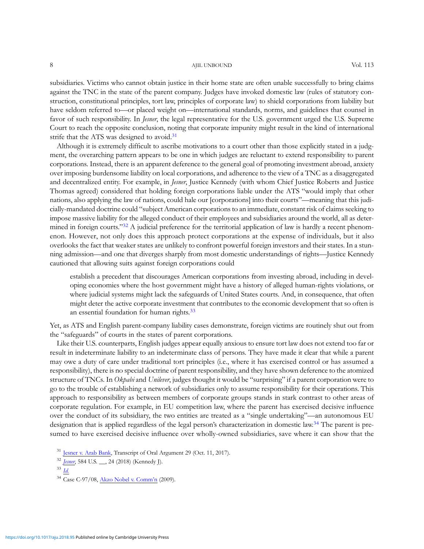#### 8 AJIL UNBOUND Vol. 113

subsidiaries. Victims who cannot obtain justice in their home state are often unable successfully to bring claims against the TNC in the state of the parent company. Judges have invoked domestic law (rules of statutory construction, constitutional principles, tort law, principles of corporate law) to shield corporations from liability but have seldom referred to—or placed weight on—international standards, norms, and guidelines that counsel in favor of such responsibility. In *Jesner*, the legal representative for the U.S. government urged the U.S. Supreme Court to reach the opposite conclusion, noting that corporate impunity might result in the kind of international strife that the ATS was designed to avoid. $31$ 

Although it is extremely difficult to ascribe motivations to a court other than those explicitly stated in a judgment, the overarching pattern appears to be one in which judges are reluctant to extend responsibility to parent corporations. Instead, there is an apparent deference to the general goal of promoting investment abroad, anxiety over imposing burdensome liability on local corporations, and adherence to the view of a TNC as a disaggregated and decentralized entity. For example, in Jesner, Justice Kennedy (with whom Chief Justice Roberts and Justice Thomas agreed) considered that holding foreign corporations liable under the ATS "would imply that other nations, also applying the law of nations, could hale our [corporations] into their courts"—meaning that this judicially-mandated doctrine could "subject American corporations to an immediate, constant risk of claims seeking to impose massive liability for the alleged conduct of their employees and subsidiaries around the world, all as determined in foreign courts." $32$  A judicial preference for the territorial application of law is hardly a recent phenomenon. However, not only does this approach protect corporations at the expense of individuals, but it also overlooks the fact that weaker states are unlikely to confront powerful foreign investors and their states. In a stunning admission—and one that diverges sharply from most domestic understandings of rights—Justice Kennedy cautioned that allowing suits against foreign corporations could

establish a precedent that discourages American corporations from investing abroad, including in developing economies where the host government might have a history of alleged human-rights violations, or where judicial systems might lack the safeguards of United States courts. And, in consequence, that often might deter the active corporate investment that contributes to the economic development that so often is an essential foundation for human rights.<sup>33</sup>

Yet, as ATS and English parent-company liability cases demonstrate, foreign victims are routinely shut out from the "safeguards" of courts in the states of parent corporations.

Like their U.S. counterparts, English judges appear equally anxious to ensure tort law does not extend too far or result in indeterminate liability to an indeterminate class of persons. They have made it clear that while a parent may owe a duty of care under traditional tort principles (i.e., where it has exercised control or has assumed a responsibility), there is no special doctrine of parent responsibility, and they have shown deference to the atomized structure of TNCs. In Okpabi and Unilever, judges thought it would be "surprising" if a parent corporation were to go to the trouble of establishing a network of subsidiaries only to assume responsibility for their operations. This approach to responsibility as between members of corporate groups stands in stark contrast to other areas of corporate regulation. For example, in EU competition law, where the parent has exercised decisive influence over the conduct of its subsidiary, the two entities are treated as a "single undertaking"—an autonomous EU designation that is applied regardless of the legal person's characterization in domestic law.34 The parent is presumed to have exercised decisive influence over wholly-owned subsidiaries, save where it can show that the

[Jesner v. Arab Bank](https://www.supremecourt.gov/oral_arguments/argument_transcripts/2017/16-499_i4dj.pdf), Transcript of Oral Argument 29 (Oct. 11, 2017).

<sup>&</sup>lt;sup>32</sup> [Jesner](https://supreme.justia.com/cases/federal/us/584/16-499/), 584 U.S. \_\_, 24 (2018) (Kennedy J).

<sup>33</sup> [Id.](https://supreme.justia.com/cases/federal/us/584/16-499/)

<sup>34</sup> Case C-97/08, [Akzo Nobel v. Comm](http://curia.europa.eu/juris/liste.jsf?language=en&num=C-97/08)'n (2009).